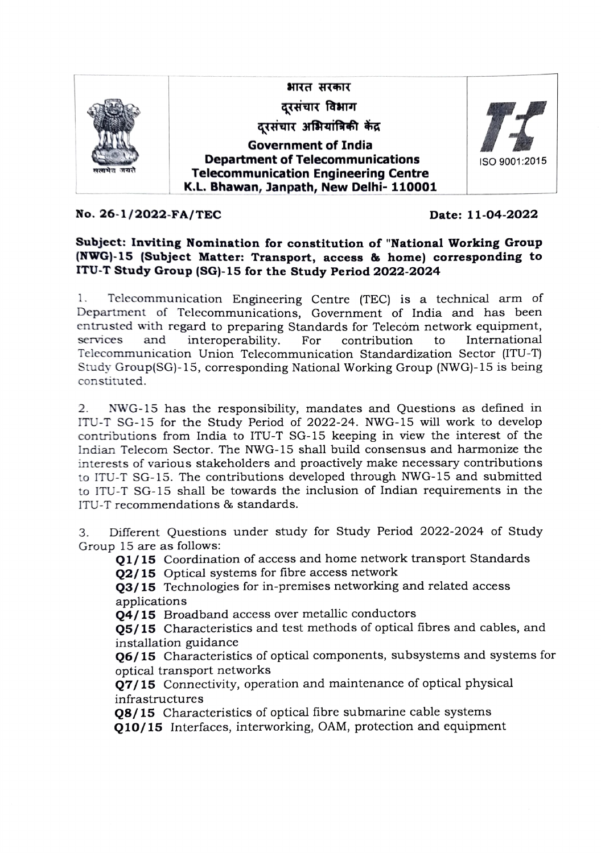

No. 26-1/2022-FA/TEC Date: 11-04-2022

## Subject: Inviting Nomination for constitution of "National Working Group (NWG)-15 (Subject Matter: Transport, access & home) corresponding to ITU-T Study Group (SG)-15 for the Study Period 2022-2024

1. Telecommunication Engineering Centre (TEC) is a technical arm of Department of Telecommunications, Government of India and has been entrustcd with regard to preparing Standards for Telecóm network equipment, services and interoperability. For contribution to International Telecommunication Union Telecommunication Standardization Sector (ITU-T) Study Group(SG)-15, corresponding National Working Group (NwG)-15 is being constituted.

NWG-15 has the responsibility, mandates and Questions as defined in ITU-T SG-15 for the Study Period of 2022-24. NWG-15 will work to develop contributions from India to ITU-T SG-15 keeping in view the interest of the Indian Telecom Sector. The NWG-15 shall build consensus and harmonize the 2. interests of various stakeholders and proactively make necessary contributions to ITU-T SG-15. The contributions developed through NWG-15 and submitted to ITU-T SG-15 shall be towards the inclusion of Indian requirements in the ITU-T recommendations & standards.

Different Questions under study for Study Period 2022-2024 of Study Group 15 are as follows: 3.

Q1/15 Coordination of access and home network transport Standards

**02/15** Optical systems for fibre access network

Q3/15 Technologies for in-premises networking and related access applications

Q4/15 Broadband access over metallic conductors

Q5/15 Characteristics and test methods of optical fibres and cables, and installation guidance

Q6/15 Characteristics of optical components, subsystems and systems for optical transport networks

Q7/15 Connectivity, operation and maintenance of optical physical infrastructures

Q8/15 Characteristics of optical fibre submarine cable systems Q10/15 Interfaces, interworking, OAM, protection and equipment